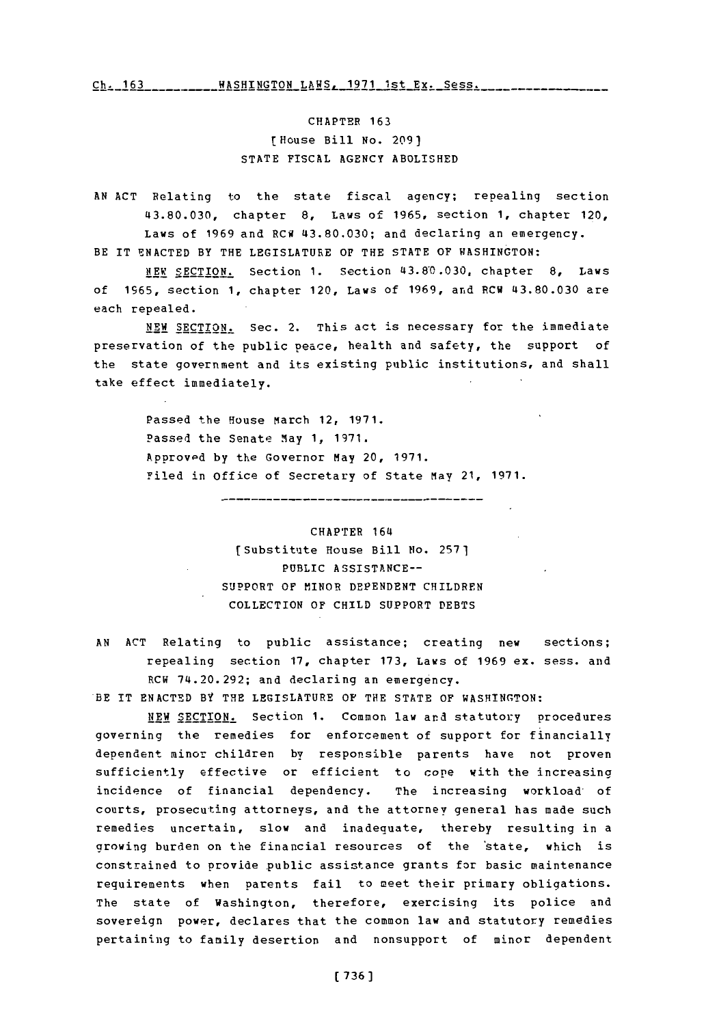**Ch. 163- \_-WASHINGTON** LAWS, **1971** Ist Ex. **Sess.------**

CHAPTER **163** [House Bill No. **2091 STATE** FISCAL **AGENCY** ABOLISHED

**AN ACT** Relating to the state fiscal agency; repealing section **43.80.030,** chapter **8,** Laws of **1965,** section **1,** chapter 120, Laws of **1969** and RCW **43.80.030;** and declaring an emergency. BE IT **ENACTED** BY THE LEGISLATURE **OF** THE **STATE** OF WASHINGTON:

**NEW** SECTION. Section **1.** Section **43.8-0.030,** chapter **8,** Laws **of 1965,** section **1,** chapter 120, Laws of **1969,** and RCW **43.80.030** are each repealed.

**NEW SECTION.** Sec. 2. This act is necessary for the immediate preservation of the public peace, health and safety, the support of the state government and its existing public institutions, and shall take effect immediately.

> Passed the House March 12, **1971.** Passed the Senate May **1, 1971.** Approvpd **by** the Governor May 20, **1971.** Filed in office of Secretary of State May 21, **1971.**

> > CHAPTER 164 [Substitute House Bill Ho. **2571** PUBLIC **ASSISTANCE--** SUPPORT **OF** MINOR **DEPENDENT** CHILDREN COLLECTION OF **CHILD** SUPPORT **DEBTS**

**AN ACT** Relating to public assistance; creating new sections; repealing section **17,** chapter **173,** *Laws* of **1969** ex. sess. and RCW 74.20.292; and declaring an emergency. BE IT **ENACTED** BY THE LEGISLATURE OF THE **STATE** OF **WASHINGTON:**

**NEW SECTION.** Section **1.** Common law and statutory procedures governing the remedies for enforcement of support for financially dependent minor children by responsible parents have not proven sufficiently effective or efficient to cope with the increasing incidence of financial dependency. The increasing workload of courts, prosecuting attorneys, and the attorney general has made such remedies uncertain, slow and inadequate, thereby resulting in a growing burden on the financial resources of the 'state, which is constrained to provide public assistance grants for basic maintenance requirements when parents fail to meet their primary obligations. The state of Washington, therefore, exercising its police and sovereign power, declares that the common law and statutory remedies pertaining to family desertion and nonsupport of minor dependent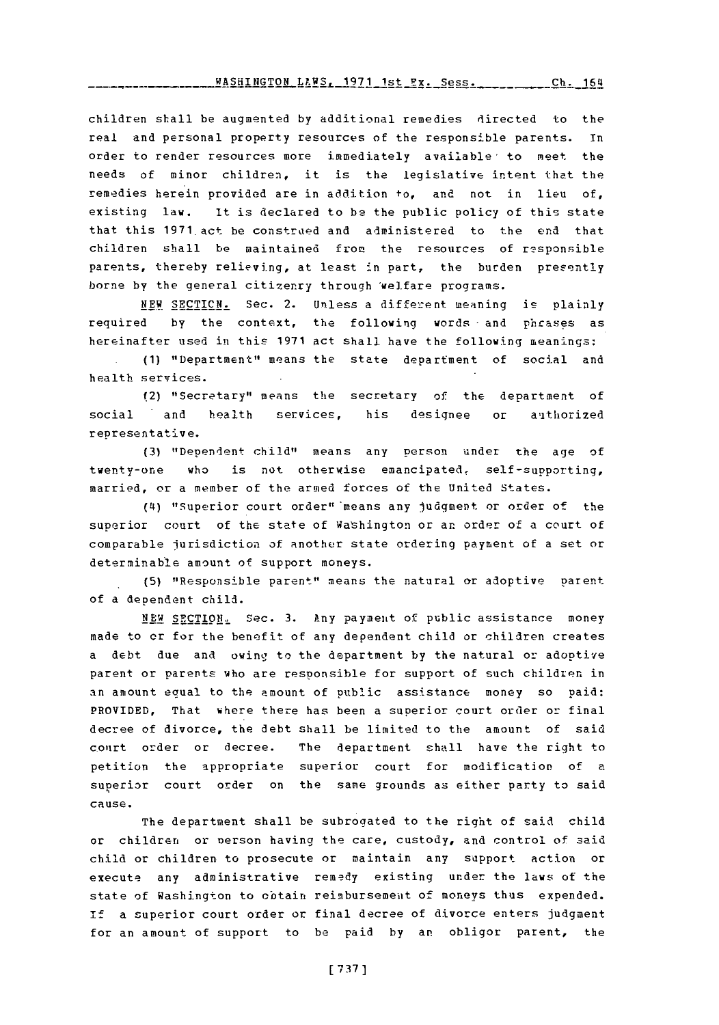children shall be augmented by additional remedies directed to the real and personal property resources of the responsible parents. in order to render resources more immediately available to meet the needs of minor children, it is the legislative intent that the remedies herein provided are in addition to, and not in lieu of, existing law. It is declared to **be** the public policy of this state that this **1971** act be construed and administered to the end that children shall be maintained from the resources of rssponsible parents, thereby relieving, at least in part, the burden presently borne **by** the general citizenry through 'welfare programs.

**NEW SECTICN.** Sec. 2. Unless a different meaning is plainly required **by** the context, the following words -and phcases as hereinafter used in this **1971** act shall. have the following meanings:

**(1)** "Department" means the state department of social and health services.

(2) "Secretary" means the secretary of the department of social and health services, his designee or authorized representative.

**(3)** "Dependent child" means any person uinder the age of twenty-one who is not otherwise emancipated, self-supporting, married, or a member of the armed forces of the United States.

**(4i)** "-Superior court order" 'means any judgment or order of the superior court of the state of Washington or an order of a court of comparable jurisdiction of another state ordering payment of a set or determinable amount of support moneys.

**(5)** "Responsible parent" means the natural or adoptive parent of a dependent child.

**NEW** SECTION,, Sec. **3.** Any payment of public assistance money made to cr for the benefit of any dependent child or children creates a debt due and owing to the department by the natural or adoptive parent or parents who are responsible for support of such children in an amount equal to the amount of public assistance money so paid: PROVIDED, That where there has been a superior court order or final decree of divorce, the debt shall be limited to the amount of said conrt order or decree. The department shall have the right to petition the appropriate superior court for modification of a superior court order on the same grounds as either party to said cause.

The department shall be subrogated to the right of said child or children or person having the care, custody, and control of said child or children to prosecute or maintain any support action or execute any administrative remedy existing under the laws of the state of Washington to obtain reimbursemeuit of moneys thus expended. **if** a superior court order or final decree of divorce enters judgment for an amount of support to be paid **by** an obligor parent, the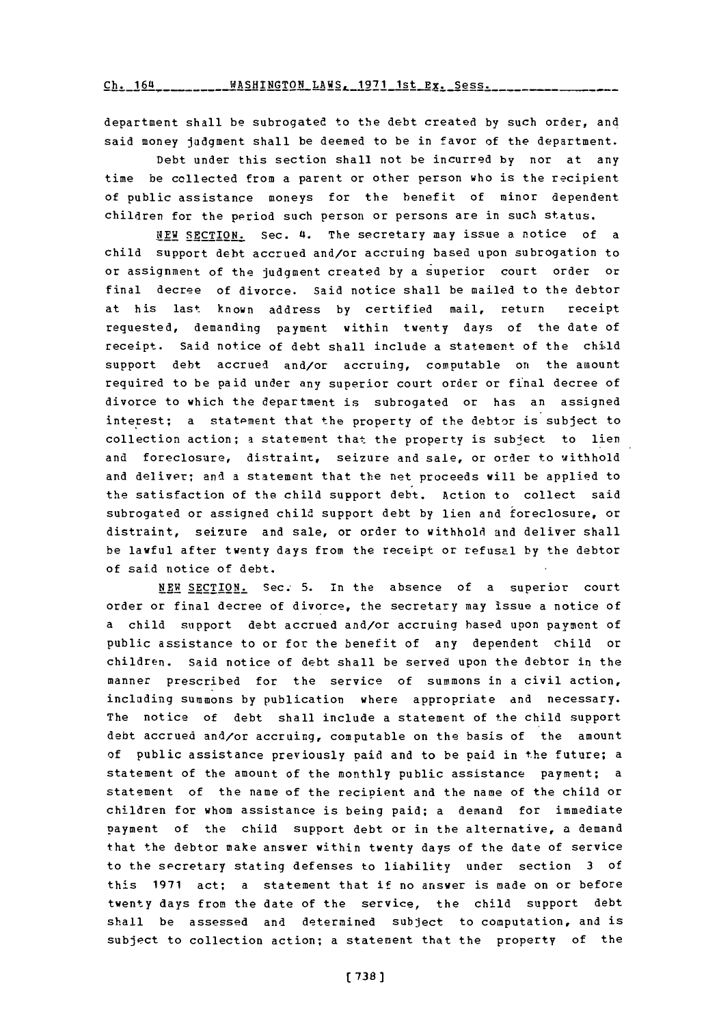**Ch. 164** *MASHINGTON LAWS, 1971 1st Ex. Sess.* 

department shall be subrogated to the debt created **by** such order, and said money judgment shall be deemed to be in favor of the department.

Debt under this section shall not be incurred **by** nor at any time be collected from a parent or other person who is the recipient of public assistance moneys for the benefit of minor dependent children for the period such person or persons are in such status.

NEW SECTION. Sec. 4. The secretary may issue a notice of a child support debt accrued and/or accruing based upon subrogation to or assignment of the judgment created **by** a superior court order or final decree of divorce. said notice shall be mailed to the debtor at his last known address **by** certified mail, return receipt requested, demanding payment within twenty days of the date of receipt. Said notice of debt shall include a statement of the child support debt accrued and/or accruing, computable on the amount required to be paid under any superior court order or final decree of divorce to which the department is subrogated or has an assigned interest; a statement that the property of the debtor is subject to collection action; a statement that the property is subject to lien and foreclosure, distraint, seizure and sale, or order to withhold and deliver; and a statement that the net proceeds will be applied to the satisfaction of the child support debt. Action to collect said subrogated or assigned child support debt **by** lien and foreclosure, or distraint, seizure and sale, or order to withhold and deliver shall be lawful after twenty days from the receipt or refusal **by** the debtor of said notice of debt.

**NEW** SECTION. Sec.- **5.** in the absence of a superior court order or final decree of divorce, the secretary may issue a notice of a child support debt accrued and/or accruing based upon payment of public assistance to or for the benefit of any dependent child or children. Said notice of debt shall be served upon the debtor in the manner prescribed for the service of summons in a civil action, including summons **by** publication where appropriate and necessary. The notice of debt shall include a statement of the child support debt accrued and/or accruing, computable on the basis of the amount of public assistance previously paid and to be paid in the future; a statement of the amount of the monthly public assistance payment; a statement of the name of the recipient and the name of the child or children for whom assistance is being paid; a demand for immediate payment of the child support debt or in the alternative, a demand that the debtor make answer within twenty days of the date of service to the secretary stating defenses to liability under section **3 of** this **1971** act; a statement that if no answer is made on or before twenty days from the date of the service, the child support debt shall be assessed and determined subject to computation, and is subject to collection action; a statement that the property of the

**(738]**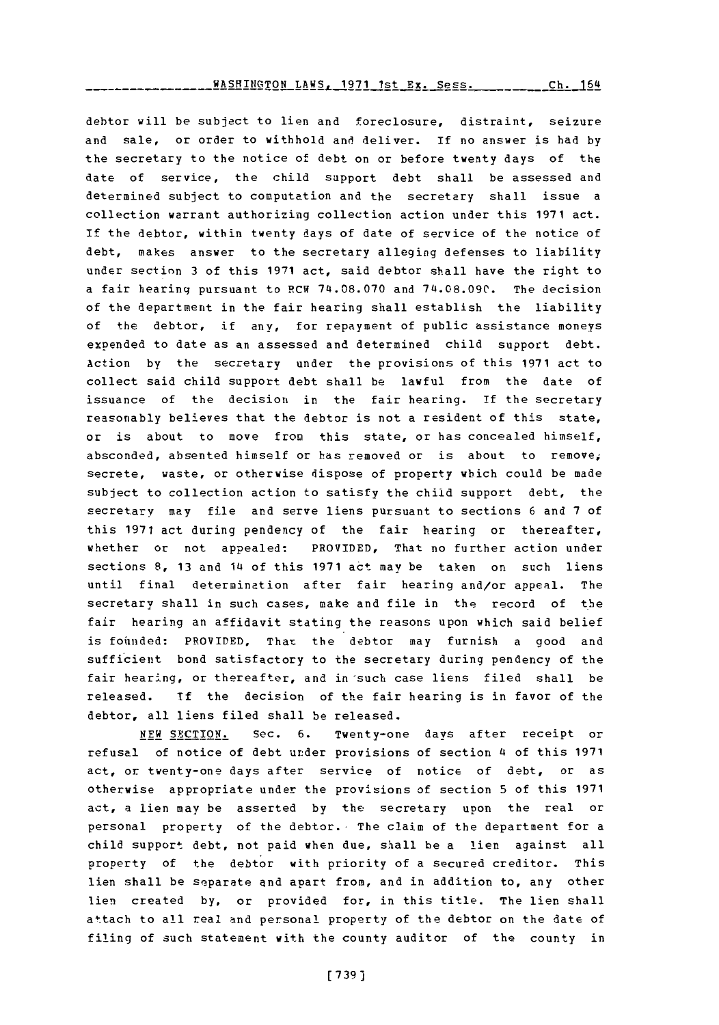WASHTnaTON LAWS **1971** 1st **Fy-** Spss. **Ch.** 164

debtor will be subject to lien and foreclosure, distraint, seizure and sale, or order to withhold and deliver. **if** no answer is had **by** the secretary to the notice of debt on or before twenty days of the date of service, the child support debt shall be assessed and determined subject to computation and the secretary shall issue a collection warrant authorizing collection action under this **1971** act. **If** the debtor, within twenty days of date of service of the notice of debt, makes answer to the secretary alleging defenses to liability under section **3** of this **1971** act, said debtor shall have the right to a fair hearing pursuant to PCW **74.08.070** and **74.08.090.** The decision of the department in the fair hearing shall establish the liability of the debtor, if any, for repayment of public assistance moneys exoended to date as an assessed and determined child support debt. Action by the secretary under the provisions of this **1971** act to collect said child support debt shall be lawful from the date of issuance of the decision in the fair hearing. If the secretary reasonably believes that the debtor is not a resident of this state, or is about to move from this state, or has concealed himself, absconded, absented himself or has removed or is about to remove; secrete, waste, or otherwise dispose of property which could be made subject to collection action to satisfy the child support debt, the secretary may file and serve liens pursuant to sections **6** and **7** of this **1971** act during pendency of the fair hearing or thereafter, whether or not appealed: PROVIDED, That no further action under sections **8, 13** and 14 of this **1971** act may be taken on such liens until final determination after fair hearing and/or appeal. The secretary shall in such cases, make and file in the record of the fair hearing an affidavit stating the reasons upon which said belief is founded: PROVIDED, That the debtor may furnish a good and sufficient bond satisfactory to the secretary during pendency of the fair hearing, or thereafter, and in such case liens filed shall be released. **If** the decision of the fair hearing is in favor of the debtor, all liens filed shall be released.

**NEW** SECTION. Sec. **6.** Twenty-one days after receipt or refusal of notice of debt under provisions of section 4 of this **1971** act, or twenty-one days after service of notice of debt, or as otherwise appropriate under the provisions of section **5** of this **1971** act, a lien may be asserted **by** the secretary upon the real or personal property of the debtor. The claim of the department for a child support debt, not paid when due, shall be a lien against all property of the debtor with priority of a secured creditor. This lien shall be separate and apart from, and in addition to, any other lien created **by,** or provided for, in this title. The lien shall attach to all real and personal property of the debtor on the date of filing of such statement with the county auditor of the county in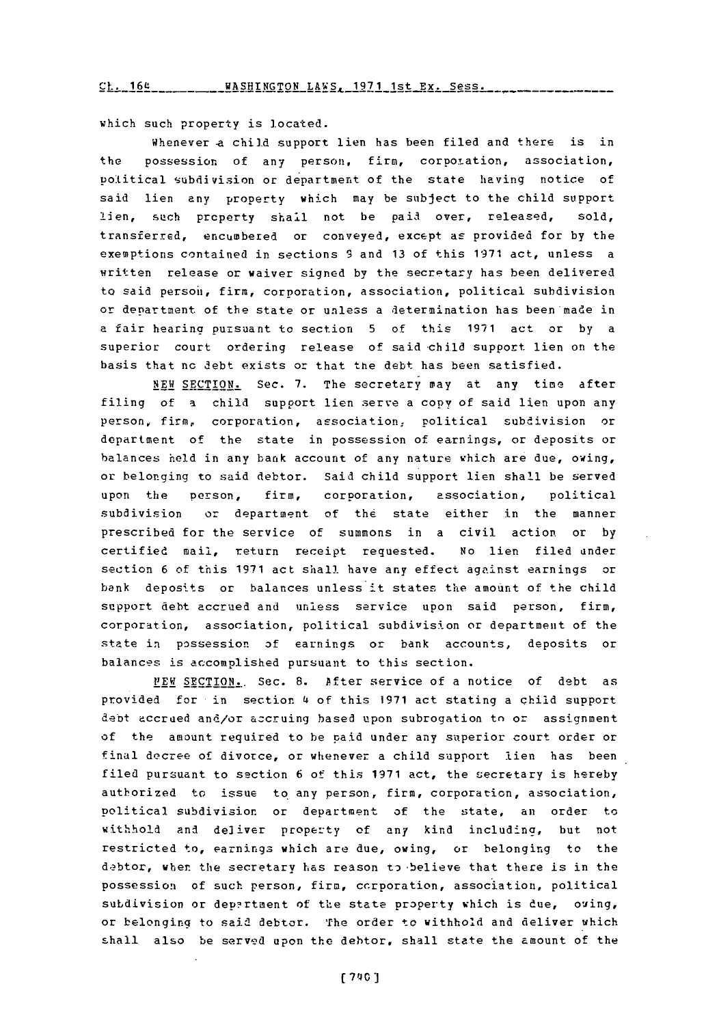**Ch.** 164 **--- AHINTON LAWS,-** 191 st **Ex.** Sess **..........**

which such property is located.

Whenever a child support lien has been filed and there is in the possession of any person, firm, corporation, association, political subdivision or department of the state having notice of said lien any property which may be subject to the child support lien, such property shall not be paid over, released, sold, transferred, encumbered or conveyed, except as provided for **by** the exemptions contained in sections **93** and **13** of this **19371** act, unless a written release or waiver signed **by** the secretary has been delivered to said person', firm, corporation, association, political subdivision or department of the state or unless a determination has been made in a fair hearing pumsuant to section **5** of this **1971** act or **by** a superior court ordering release of said-child support lien on the basis that no debt exists or that the debt has been satisfied.

**NEW SECTION.** Sec. **7.** The secretary may at any time after filing of a child support lien serve a copy of said lien upon any person, fire, corporation, association, Political subdivision or department of the state in possession of earnings, or deposits or balances held in any bank account of any nature which are due, owing, or belonging to said debtor. Said child support lien shall be served upon the person, firm, corporation, association, political subdivision or department of the state either in the manner prescribed for the service of summons in a civil action or **by** certified mail, return receipt requested. No lien filed under section **6** of this **1971** act shall. have any effect against earnings or bank deposits or balances unless it states the amount of the child support debt accrued and unless service upon said person, firm, corporation, association, political subdivision or department of the state in possession **of** earnings or bank accounts, deposits or balances is accomplished pursuant to this section.

*F 1 EW* SECTION.. Sec. **S.** After service of a notice of debt as provided for in section 4 of this **1971** act stating a child support debt accrued and/or azoruing based upon subrogation to or assignment of the amount required to be paid under any superior court order or final decree of divorce, or whenever a child support lien has been filed pursuant to section **6** of this **1971** act, the secretary is hereby authorized to issue to any person, firm, corporation, association, political subdivision or department of the state, an order to withhold and deliver property **of** any kind including, but not restricted to, earnings which are due, owing, or belonging to the debtor, when the secretary has reason to believe that there is in the possession of such person, firm, ccrporation, association, political subdivision or department of the state property which is due, oving, or belonging to said debtor. The order to withhold and deliver which shall also be served upon the debtor, shall state the amount of the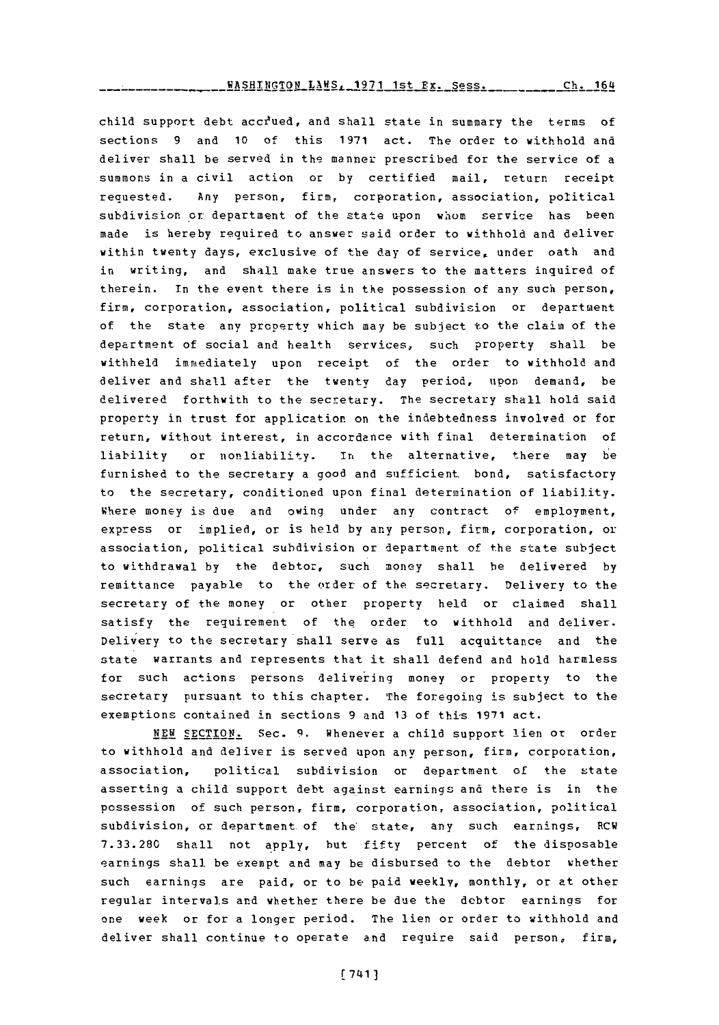**FASHINGTON\_LAMS, 1971 1st Ex. Sess. \_\_\_\_\_\_\_\_\_\_ Ch. 164** 

child support debt accrued, and shall state in summary the terms of sections **9** and **10** of this **1971** act. The order to withhold and deliver shall be served in the manner prescribed for the service of a summons in a civil action or **by** certified mail, return receipt requested. Any person, firm, corporation, association, political subdivision or department of the state upon whom service has been made is hereby required to answer said order to withhold and deliver within twenty days, exclusive of the day of service, under oath and in writing, and shall make true answers to the matters inquired of therein. In the event there is in the possession of any such person, firm, corporation, association, political subdivision or department of the state any property which may be subject to the claim of the department of social and health services, such property shall be withheld immediately upon receipt of the order to withhold and deliver and shall after the twenty day period, upon demand, be delivered forthwith to the secretary. The secretary shall hold said property in trust for application on the indebtedness involved or for return, without interest, in accordance with final determination of liability or nonliability. In the alternative, there may be furnished to the secretary a good and sufficient bond, satisfactory to the secretary, conditioned upon final determination of liability. Where money is due and owing under any contract of employment, express or implied, or is held **by** any person, firm, corporation, or association, political subdivision or department of the state subject to withdrawal **by** the debtor, such money shall be delivered **by** remittance payable to the order of the secretary. Delivery to the secretary of the money or other property held or claimed shall satisfy the requirement of the order to withhold and deliver. Delivery to the secretary shall serve as full acquittance and the state warrants and represents that it shall defend and hold harmless for such actions persons delivering money or property to the secretary pursuant to this chapter. The foregoing is subject to the exemptions contained in sections **9** and **13** of this **1911** act.

**NEW** SECTION. Sec. **9.** Whenever a child support lien or order to withhold and deliver is served upon any person, firm, corporation, association, political subdivision or department of the state asserting a child support debt against earnings and there is in the possession of such person, firm, corporation, association, political subdivision, or department of the' state, any such earnings, RCW **7.33.280** shall not apply, hut fifty percent of the disposable earnings shall be exempt and may be disbursed to the debtor whether such earnings are paid, or to be paid weekly, monthly, or at other regular intervals and whether there be due the debtor earnings for one week or for a longer period. The lien or order to withhold and deliver shall continue to operate and require said person, firm,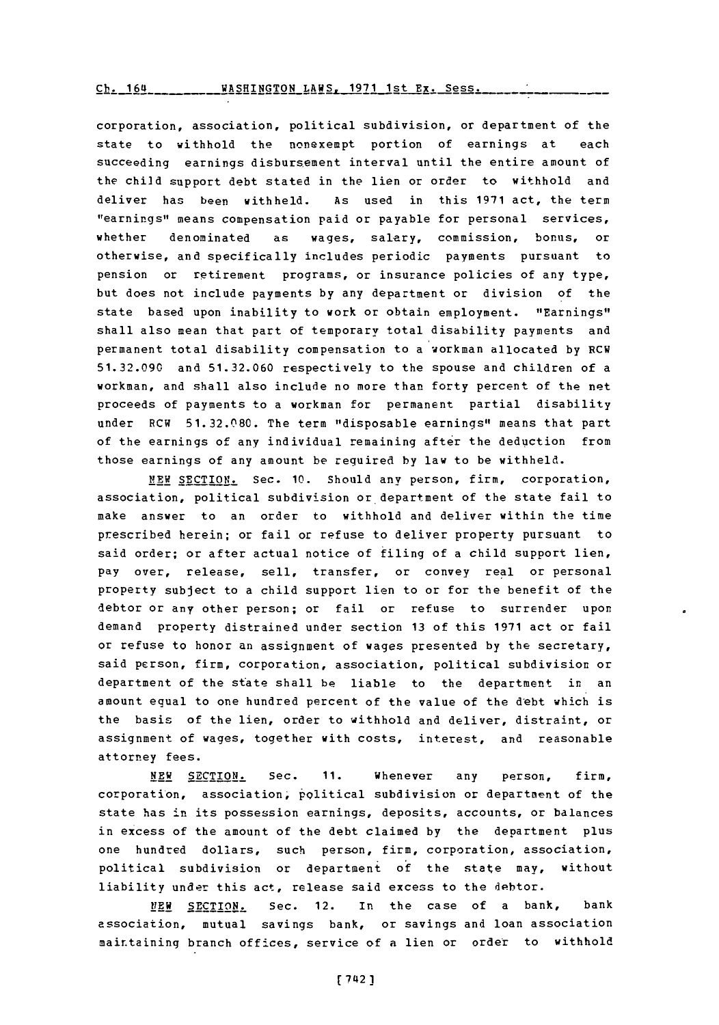WASHINGTON LAWS, 1971 1st Ex. Sess.  $ch. 164$ 

corporation, association, political subdivision, or department of the state to withhold the nonexempt portion of earnings at each succeeding earnings disbursement interval until the entire amount of the child support debt stated in the lien or order to withhold and deliver has been withheld. **As** used in this **1971** act, the term "earnings" means compensation paid or payable for personal services, whether denominated as wages, salary, commission, bonus, or otherwise, and specifically includes periodic payments pursuant to pension or retirement programs, or insurance policies of any type, but does not include payments **by** any department or division of the state based upon inability to work or obtain employment. "Earnings" shall also mean that part of temporary total disability payments and permanent total disability compensation to a workman allocated **by** RCW **51.32.090** and **51.32.060** respectively to the spouse and children of a workman, and shall also include no more than forty percent of the net proceeds of payments to a workman for permanent partial disability under RCW **51.32.080.** The term "disposable earnings" means that part of the earnings of any individual remaining after the deduction from those earnings of any amount be required **by** law to be withheld.

*NEW* **SECTION.** Sec. **10.** Should any person, firm, corporation, association, political subdivision or department of the state fail to make answer to an order to withhold and deliver within the time prescribed herein; or fail or refuse to deliver property pursuant to said order; or after actual notice of filing of a child support lien, pay over, release, sell, transfer, or convey real or personal property subject to a child support lien to or for the benefit of the debtor or any other person; or fail or refuse to surrender upon demand property distrained under section **13** of this **1971** act or fail or refuse to honor an assignment of wages presented **by** the secretary, said person, firm, corporation, association, political subdivision or department of the state shall be liable to the department in an amount equal to one hundred percent of the value of the debt which is the basis of the lien, order to withhold and deliver, distraint, or assignment of wages, together with costs, interest, and reasonable attorney fees.

**NEW SECTION.** Sec. **11.** Whenever any person, firm, corporation, association, political subdivision or department of the state has in its possession earnings, deposits, accounts, or balances in excess of the amount of the debt claimed **by** the department plus one hundred dollars, such person, firm, corporation, association, political subdivision or department of the state may, without liability under this act, release said excess to the debtor.

**NEW SECTION.** Sec. 12. in the case of a bank, bank association, mutual savings bank, or savings and loan association maittaining branch offices, service of a lien or order to withhold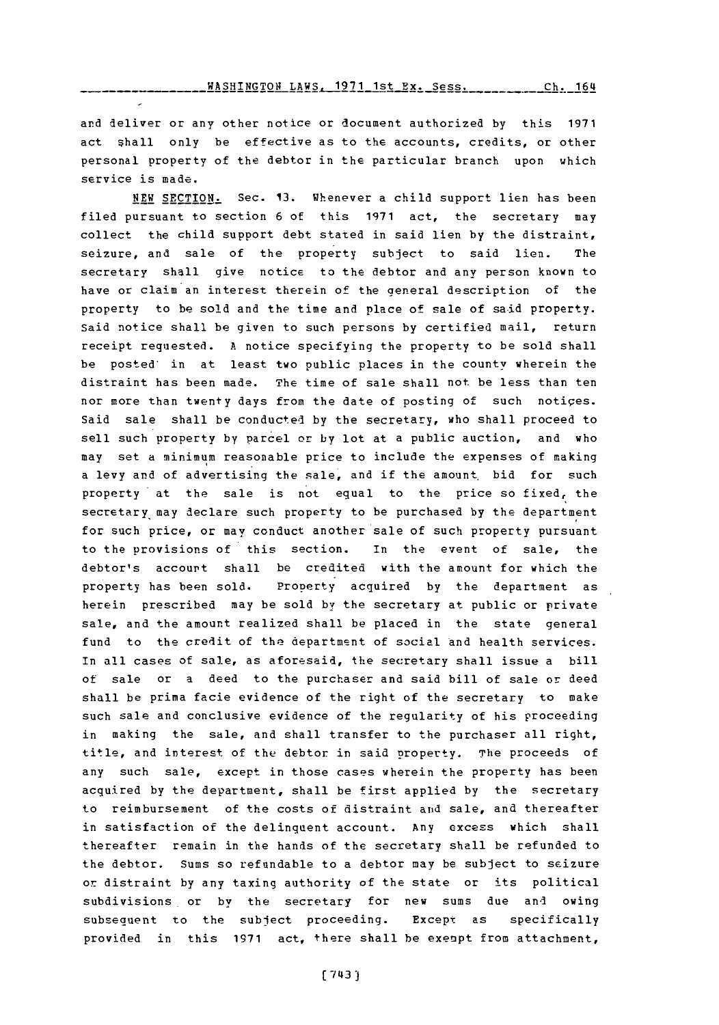WASHINGTON LAWS. **1971** 1st Ex. Sess. Ch. **164**

and deliver or any other notice or document authorized **by** this **1971** act shall only be effective as to the accounts, credits, or other personal property of the debtor in the particular branch upon which service is made.

**NEW SECTION.** Sec. **13.** whenever a child support lien has been filed pursuant to section **6** of this **1971** act, the secretary may collect the child support debt stated in said lien **by** the distraint, seizure, and sale of the property subject to said lien. The secretary shall give notice to the debtor and any person known to have or claim an interest therein of the general description of the property to be sold and the time and place of sale of said property. Said notice shall be given to such persons **by** certified mail, return receipt requested. **A** notice specifying the property to be sold shall be posted' in at least two public places in the county wherein the distraint has been made. The time of sale shall not be less than ten nor more than twenty days from the date of posting of such notiges. Said sale shall be conducted **by** the secretary, who shall proceed to sell such property **by** parcel or by lot at a public auction, and who may set a minimum reasonable price to include the expenses of making a levy and of advertising the sale, and if the amount bid for such property at the sale is not equal to the price so fixed, the secretary may declare such property to be purchased **by** the department for such price, or may conduct another sale of such property pursuant to the provisions of this section. In the event of sale, the debtor's account shall be credited with the amount for which the property has been sold. Pronerty acquired **by** the department as herein prescribed may be sold by the secretary at public or private sale, and the amount realized shall be placed in the state general fund to the credit of the department of social and health services. In all cases of sale, as aforesaid, the secretary shall issue a bill of sale or a deed to the purchaser and said bill of sale or deed shall he prima facie evidence of the right of the secretary to make such sale and conclusive evidence of the regularity of his proceeding in making the sale, and shall transfer to the purchaser all right, title, and interest of the debtor in said property. The proceeds of any such sale, except in those cases wherein the property has been acquired **by** the department, shall be first applied **by** the secretary to reimbursement of the costs of distraint and sale, and thereafter in satisfaction of the delinquent account. Any excess which shall thereafter remain in the hands of the secretary shall be refunded to the debtor. Sums so refundable to a debtor may be subject to seizure or distraint **by** any taxing authority of the state or its political subdivisions, or **by** the secretary for new sums due and owing subsequent to the subject proceeding. Except as specifically provided in this **1971** act, there shall be exenpt from attachment,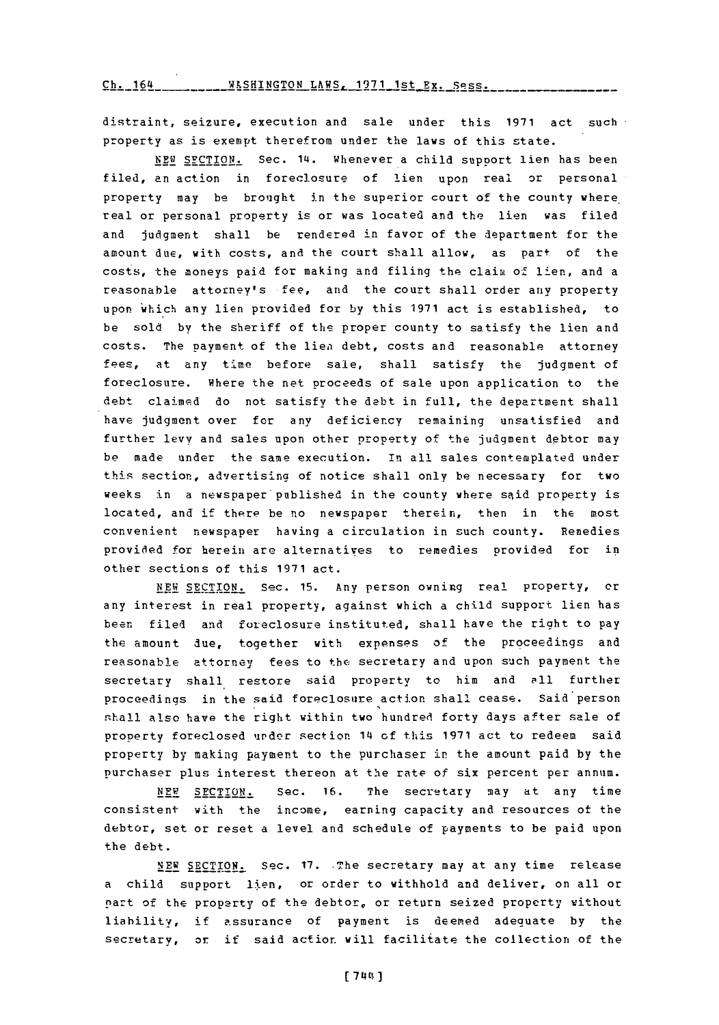**Ch.** 164 **WKSHINGTON** LAWS, **1971** 1st Ex. **spss.**

distraint, seizure, execution and sale under this **1971** act such property as is exempt therefrom under the laws of this state.

**NEW** SFCTION. Sec. 14. Whenever a child support lien has been filed, an action in foreclosure of lien upon real or personal property may be brought in the superior court of the county where, real or personal property is or was located and the lien was filed and judgment shall be rendered in favor of the department for the amount due, with costs, and the court shall allow, as part of the costs, the moneys paid for making and filing the claim of lien, and a reasonable attorney's fee, and the court shall order any property upon which any lien provided for **by** this **1971** act is established, to be sold **by** the sheriff of the proper county to satisfy the lien and costs. The payment of the lien debt, costs and reasonable attorney fees, at any time before sale, shall satisfy the judgment of foreclosure. Where the net proceeds of sale upon application to the debt claimed do not satisfy the debt in full, the department shall have judgment over for any deficiency remaining unsatisfied and further levy and sales upon other property of the judqment debtor may be made under the same execution. in all sales contemplated under this section, advertising of notice shall only be necessary for two weeks in a newspaper'published in the county where said property is located, and if there be no newspaper therein, then in the most convenient newspaper having a circulation in such county. Remedies provided for herein are alternatives to remedies provided for in other sections of this **1971** act.

**NEW** SECTION. Sec. **15.** Any person owning real property, or any interest in real property, against which a child support lien has been filed and foreclosure instituted, shall have the right to pay the amount due, together with expenses of the proceedings and reasonable attorney fees to the secretary and upon such payment the secretary shall restore said property to him and all further proceedings in the said foreclosure action shall cease. Said person shall also have the right within two hundred forty days after sale of property foreclosed under section 14 **of** this **1971** act to redeem said property **by** making payment to the purchaser in the amount paid **by** the Purchaser plus interest thereon at the rate of six percent per annum.

NEW **SECTION.** Sec. **16.** The secretary may at any time consistent with the income, earning capacity and resources of the debtor, set or reset a level and schedule of payments to be paid upon the debt.

14EW SECTION. sec. **17.** -The secretary may at any time release a child support lien, or order to withhold and deliver, on all or part of the property of the debtor, or return seized property without liability,, if assurance of payment is deemed adequate **by** the secretary, or if said action. will facilitate the collection of the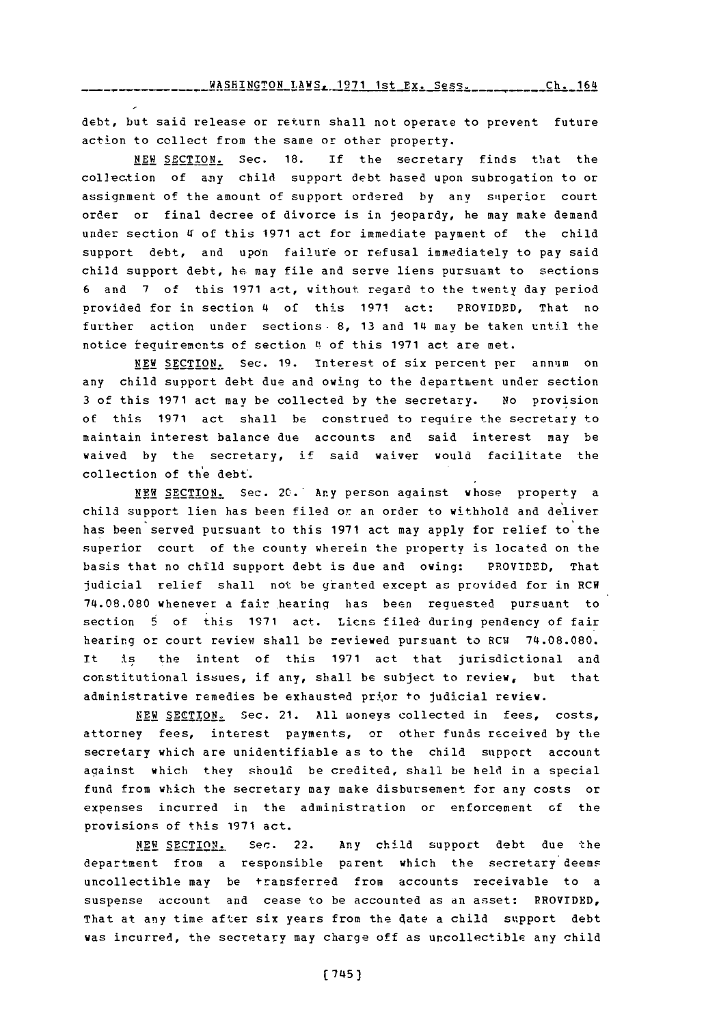debt, but said release or return shall not operate to prevent future action to collect from the same or other property.

**NEW SECTION.** Sec. **18.** If the secretary finds that the collection of any child support debt based upon subrogation to or assignment of the amount of support ordered by any superior court order or final decree of divorce is in jeopardy, he may make demand under section 4 of this 1971 act for immediate payment of the child support debt, and upon failure or refusal immediately to pay said child support debt, he may file and serve liens pursuant to sections **6** and **7** of tbis **1971** act, without regard to the twenty day period provided for in section 4 of this **1971** act: PROVIDED, That no further action under sections- **8, 13** and 14 may be taken until the notice requirements of section 4 of this 1971 act are met.

**NEW SECTION.** Sec. **19.** interest of six percent per annum on any child support debt due and owing to the department under section **3** of this **1971** act may be collected **by** the secretary. No provision of this **1971** act shall be construed to require the secretary to maintain interest balance due accounts and said interest may be waived **by** the secretary, if said waiver would facilitate the collection of the debt'.

**NEW SECTION.** Sec. 20.- Any person against whose property a child support lien has been filed or an order to withhold and deliver has been served pursuant to this **1971** act may apply for relief to the superior court of the county wherein the property is located on the basis that no child support debt is due and owing: PROVIDED, That judicial relief shall not be granted except as provided for in RCW 74.08.080 whenever a fair hearing has been requested pursuant to section 5 of this 1971 act. Liens filed during pendency of fair hearing or court review shall be reviewed pursuant to RCW 74.08.080. It is the intent of this **1971** act that jurisdictional and constitutional issues, if any, shall be subject to review, but that administrative remedies be exhausted prior to judicial review.

**NEW SECTION.** Sec. 21. **All** moneys collected in fees, costs, attorney fees, interest payments, or other funds received **by** the secretary which are unidentifiable as to the child support account against which they should be credited, shall be held in a special fund from which the secretary may make disbursement for any costs or expenses incurred in the administration or enforcement **of** the provisions of this **1971** act.

NEW SECTION. Sec. 22. Any child support debt due the department from a responsible parent which the secretary deems uncollectible may be transferred from accounts receivable to a suspense account and cease to be accounted as an asset: RROVIDBD, That at any time after six years from the date a child support debt was incurred, the secretary may charge off as uncollectible any child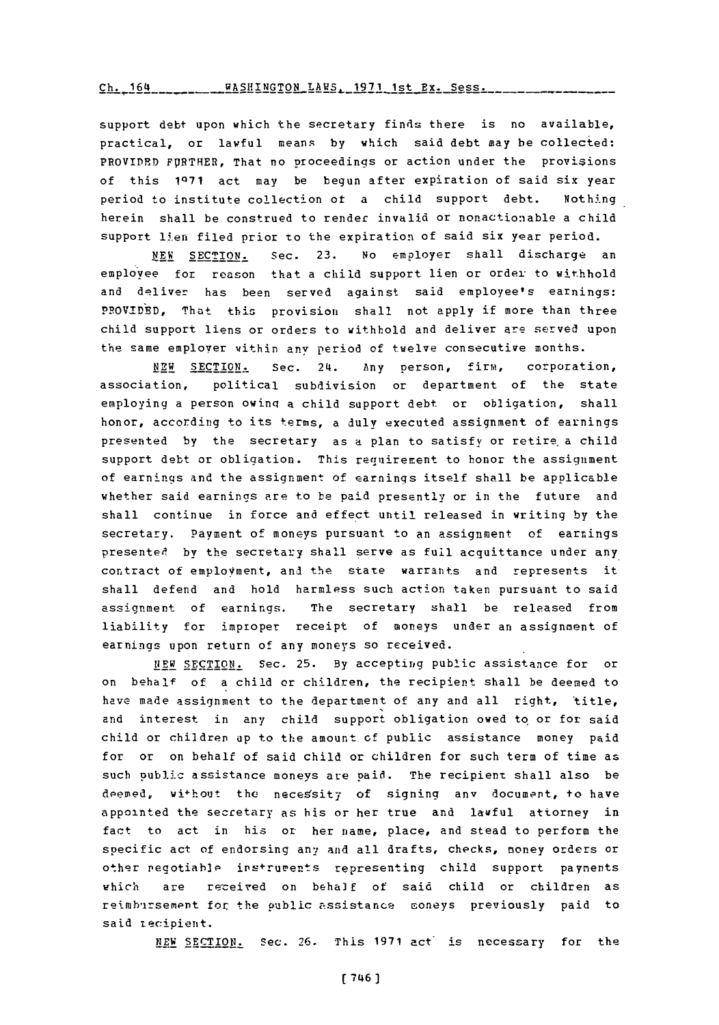Ch. 164 \_\_\_\_\_\_\_\_\_ WASHINGTON LAWS. 1971 1st Ex. Sess.

support debt upon which the secretary finds there is no available, practical, or lawful means **by** which said debt may be collected: PROVIDED FURTHER, That no proceedings or action under the provisions **of** this **1Q71** act may be begun after expiration of said six year period to institute collection of a child support debt. Nothing herein shall be construed to render invalid or nonactionable a child support lien filed prior to the expiration of said six year period.

**NEW SECTION.** Sec. **23.** No employer shall discharge an employee for reason that a child support lien or order to withhold and deliver has been served against said employee's earnings: PROVIDED, That this provision shall not apply if more than three child support liens or orders to withhold and deliver are served upon the same employer within any period of twelve consecutive months.

**NEW SECTION .** Sec. 24. Any person, firm, corporation, association, political subdivision or department of the state employing a person owinq a child support debt or obligation, shall honor, according to its terms, a duly executed assignment of earnings presented **by** the secretary as a plan to satisfy or retire. a child support debt or obligation. This requirement to honor the assignment of earnings and the assignment of earnings itself shall be applicable whether said earnings are to be paid presently or in the future and shall continue in force and effect until released in writing **by** the secretary. Payment of moneys pursuant to an assignment **of** earnings presented by the secretary shall serve as full acquittance under any contract of emplovment, and the state warrants and represents it shall defend and hold harmless such action taken pursuant to said assigrnment of earnings. The secretary shall be released from liability for improper receipt of moneys under an assignment of earnings upon return of any moneys so received.

NEW SECTION. Sec. **25. By** accepting public assistance for or on behalf of a child or children, the recipient shall be deemed to have made assignment to the department of any and all right, title, and interest in any child support obligation owed to, or for said child or children up to the amount of public assistance money paid for or on behalf of said child or children for such term of time as such public assistance moneys are paid. The recipient shall also be deemed, without the necessity of signing any document, to have appointed the secretary as his or her true and lawful attorney in fact to act **in** his or her name, place, and stead to perform the specific act of endorsing any and all drafts, checks, money orders or other negotiable instruments representing child support payments which are received on behalf of said child or children as reimhursement for the oublic assistance coneys previously paid to said tecipient.

**NEW SECTION.** Sec. **26.** This **1971** act" is necessary for the